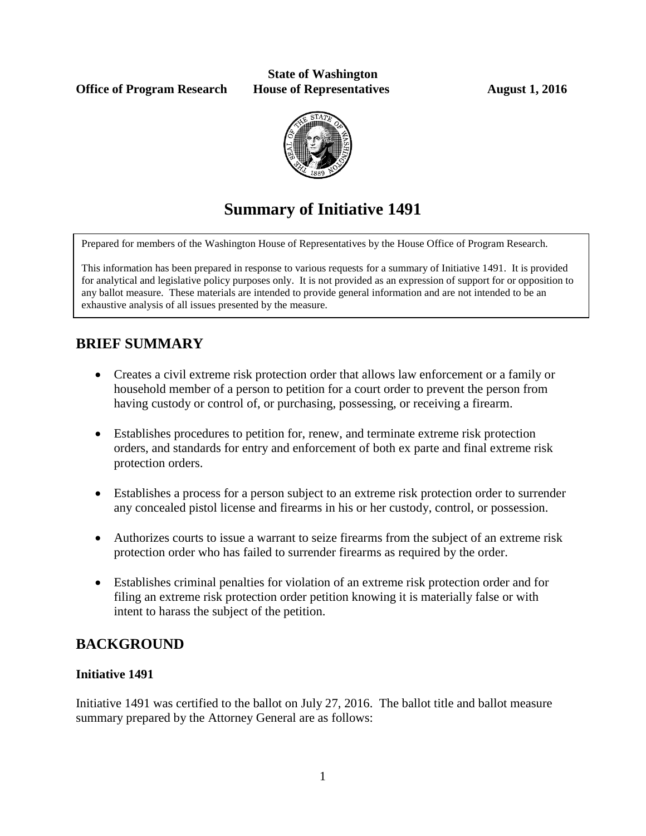**Office of Program Research House of Representatives August 1, 2016** 

# **State of Washington**



# **Summary of Initiative 1491**

Prepared for members of the Washington House of Representatives by the House Office of Program Research.

This information has been prepared in response to various requests for a summary of Initiative 1491. It is provided for analytical and legislative policy purposes only. It is not provided as an expression of support for or opposition to any ballot measure. These materials are intended to provide general information and are not intended to be an exhaustive analysis of all issues presented by the measure.

# **BRIEF SUMMARY**

- Creates a civil extreme risk protection order that allows law enforcement or a family or household member of a person to petition for a court order to prevent the person from having custody or control of, or purchasing, possessing, or receiving a firearm.
- Establishes procedures to petition for, renew, and terminate extreme risk protection orders, and standards for entry and enforcement of both ex parte and final extreme risk protection orders.
- Establishes a process for a person subject to an extreme risk protection order to surrender any concealed pistol license and firearms in his or her custody, control, or possession.
- Authorizes courts to issue a warrant to seize firearms from the subject of an extreme risk protection order who has failed to surrender firearms as required by the order.
- Establishes criminal penalties for violation of an extreme risk protection order and for filing an extreme risk protection order petition knowing it is materially false or with intent to harass the subject of the petition.

## **BACKGROUND**

## **Initiative 1491**

Initiative 1491 was certified to the ballot on July 27, 2016. The ballot title and ballot measure summary prepared by the Attorney General are as follows: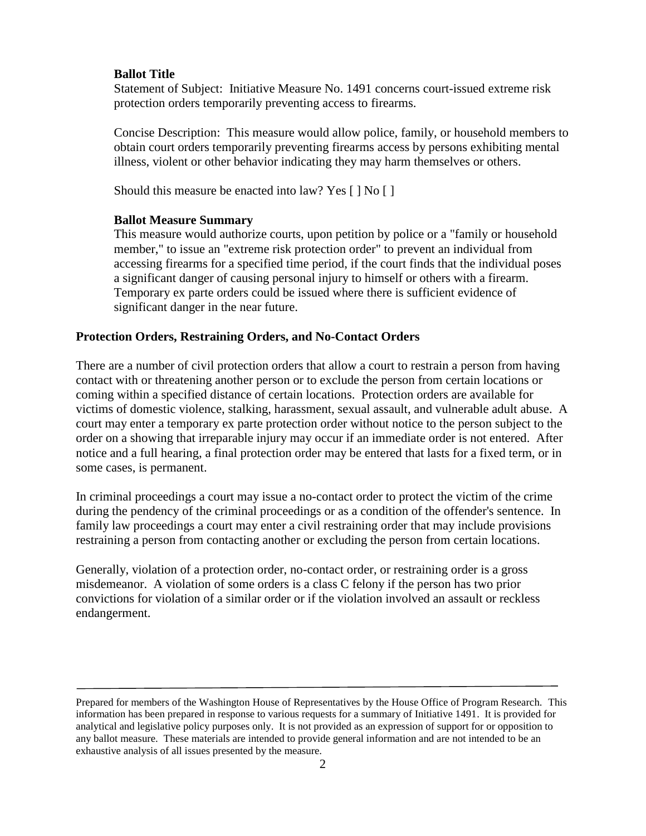#### **Ballot Title**

Statement of Subject: Initiative Measure No. 1491 concerns court-issued extreme risk protection orders temporarily preventing access to firearms.

Concise Description: This measure would allow police, family, or household members to obtain court orders temporarily preventing firearms access by persons exhibiting mental illness, violent or other behavior indicating they may harm themselves or others.

Should this measure be enacted into law? Yes [ ] No [ ]

#### **Ballot Measure Summary**

This measure would authorize courts, upon petition by police or a "family or household member," to issue an "extreme risk protection order" to prevent an individual from accessing firearms for a specified time period, if the court finds that the individual poses a significant danger of causing personal injury to himself or others with a firearm. Temporary ex parte orders could be issued where there is sufficient evidence of significant danger in the near future.

#### **Protection Orders, Restraining Orders, and No-Contact Orders**

There are a number of civil protection orders that allow a court to restrain a person from having contact with or threatening another person or to exclude the person from certain locations or coming within a specified distance of certain locations. Protection orders are available for victims of domestic violence, stalking, harassment, sexual assault, and vulnerable adult abuse. A court may enter a temporary ex parte protection order without notice to the person subject to the order on a showing that irreparable injury may occur if an immediate order is not entered. After notice and a full hearing, a final protection order may be entered that lasts for a fixed term, or in some cases, is permanent.

In criminal proceedings a court may issue a no-contact order to protect the victim of the crime during the pendency of the criminal proceedings or as a condition of the offender's sentence. In family law proceedings a court may enter a civil restraining order that may include provisions restraining a person from contacting another or excluding the person from certain locations.

Generally, violation of a protection order, no-contact order, or restraining order is a gross misdemeanor. A violation of some orders is a class C felony if the person has two prior convictions for violation of a similar order or if the violation involved an assault or reckless endangerment.

Prepared for members of the Washington House of Representatives by the House Office of Program Research. This information has been prepared in response to various requests for a summary of Initiative 1491. It is provided for analytical and legislative policy purposes only. It is not provided as an expression of support for or opposition to any ballot measure. These materials are intended to provide general information and are not intended to be an exhaustive analysis of all issues presented by the measure.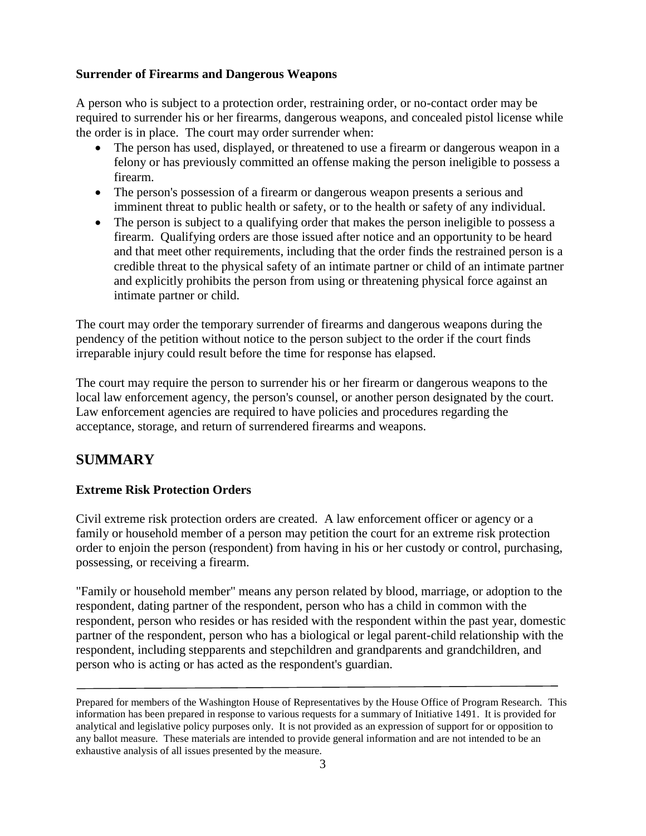### **Surrender of Firearms and Dangerous Weapons**

A person who is subject to a protection order, restraining order, or no-contact order may be required to surrender his or her firearms, dangerous weapons, and concealed pistol license while the order is in place. The court may order surrender when:

- The person has used, displayed, or threatened to use a firearm or dangerous weapon in a felony or has previously committed an offense making the person ineligible to possess a firearm.
- The person's possession of a firearm or dangerous weapon presents a serious and imminent threat to public health or safety, or to the health or safety of any individual.
- The person is subject to a qualifying order that makes the person ineligible to possess a firearm. Qualifying orders are those issued after notice and an opportunity to be heard and that meet other requirements, including that the order finds the restrained person is a credible threat to the physical safety of an intimate partner or child of an intimate partner and explicitly prohibits the person from using or threatening physical force against an intimate partner or child.

The court may order the temporary surrender of firearms and dangerous weapons during the pendency of the petition without notice to the person subject to the order if the court finds irreparable injury could result before the time for response has elapsed.

The court may require the person to surrender his or her firearm or dangerous weapons to the local law enforcement agency, the person's counsel, or another person designated by the court. Law enforcement agencies are required to have policies and procedures regarding the acceptance, storage, and return of surrendered firearms and weapons.

## **SUMMARY**

## **Extreme Risk Protection Orders**

Civil extreme risk protection orders are created. A law enforcement officer or agency or a family or household member of a person may petition the court for an extreme risk protection order to enjoin the person (respondent) from having in his or her custody or control, purchasing, possessing, or receiving a firearm.

"Family or household member" means any person related by blood, marriage, or adoption to the respondent, dating partner of the respondent, person who has a child in common with the respondent, person who resides or has resided with the respondent within the past year, domestic partner of the respondent, person who has a biological or legal parent-child relationship with the respondent, including stepparents and stepchildren and grandparents and grandchildren, and person who is acting or has acted as the respondent's guardian.

Prepared for members of the Washington House of Representatives by the House Office of Program Research. This information has been prepared in response to various requests for a summary of Initiative 1491. It is provided for analytical and legislative policy purposes only. It is not provided as an expression of support for or opposition to any ballot measure. These materials are intended to provide general information and are not intended to be an exhaustive analysis of all issues presented by the measure.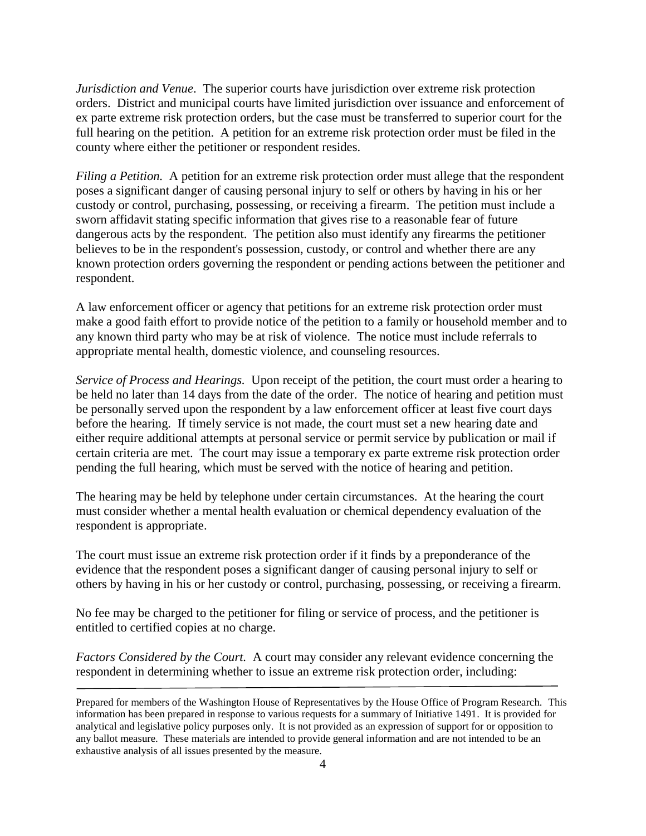*Jurisdiction and Venue*. The superior courts have jurisdiction over extreme risk protection orders. District and municipal courts have limited jurisdiction over issuance and enforcement of ex parte extreme risk protection orders, but the case must be transferred to superior court for the full hearing on the petition. A petition for an extreme risk protection order must be filed in the county where either the petitioner or respondent resides.

*Filing a Petition.* A petition for an extreme risk protection order must allege that the respondent poses a significant danger of causing personal injury to self or others by having in his or her custody or control, purchasing, possessing, or receiving a firearm. The petition must include a sworn affidavit stating specific information that gives rise to a reasonable fear of future dangerous acts by the respondent. The petition also must identify any firearms the petitioner believes to be in the respondent's possession, custody, or control and whether there are any known protection orders governing the respondent or pending actions between the petitioner and respondent.

A law enforcement officer or agency that petitions for an extreme risk protection order must make a good faith effort to provide notice of the petition to a family or household member and to any known third party who may be at risk of violence. The notice must include referrals to appropriate mental health, domestic violence, and counseling resources.

*Service of Process and Hearings.* Upon receipt of the petition, the court must order a hearing to be held no later than 14 days from the date of the order. The notice of hearing and petition must be personally served upon the respondent by a law enforcement officer at least five court days before the hearing. If timely service is not made, the court must set a new hearing date and either require additional attempts at personal service or permit service by publication or mail if certain criteria are met. The court may issue a temporary ex parte extreme risk protection order pending the full hearing, which must be served with the notice of hearing and petition.

The hearing may be held by telephone under certain circumstances. At the hearing the court must consider whether a mental health evaluation or chemical dependency evaluation of the respondent is appropriate.

The court must issue an extreme risk protection order if it finds by a preponderance of the evidence that the respondent poses a significant danger of causing personal injury to self or others by having in his or her custody or control, purchasing, possessing, or receiving a firearm.

No fee may be charged to the petitioner for filing or service of process, and the petitioner is entitled to certified copies at no charge.

*Factors Considered by the Court.* A court may consider any relevant evidence concerning the respondent in determining whether to issue an extreme risk protection order, including:

Prepared for members of the Washington House of Representatives by the House Office of Program Research. This information has been prepared in response to various requests for a summary of Initiative 1491. It is provided for analytical and legislative policy purposes only. It is not provided as an expression of support for or opposition to any ballot measure. These materials are intended to provide general information and are not intended to be an exhaustive analysis of all issues presented by the measure.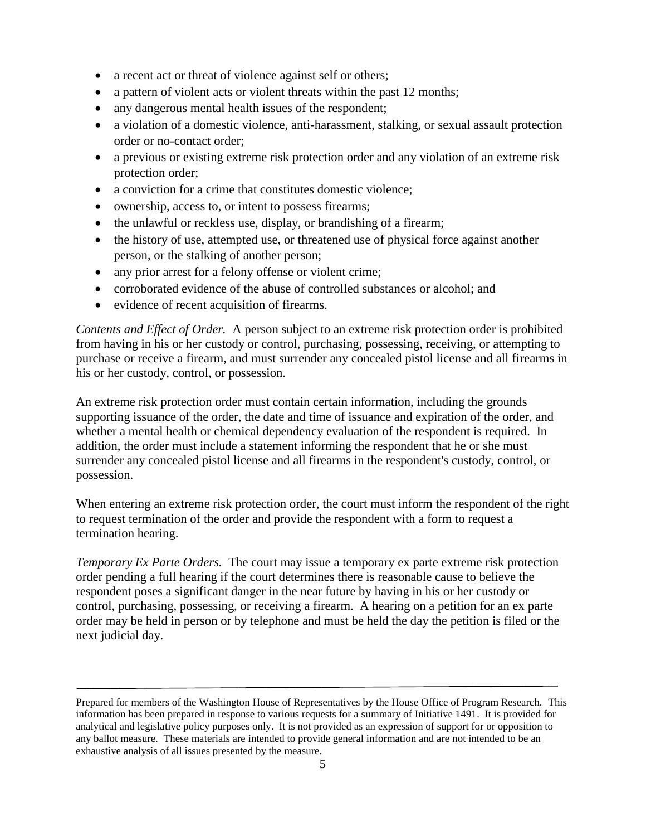- a recent act or threat of violence against self or others;
- a pattern of violent acts or violent threats within the past 12 months;
- any dangerous mental health issues of the respondent;
- a violation of a domestic violence, anti-harassment, stalking, or sexual assault protection order or no-contact order;
- a previous or existing extreme risk protection order and any violation of an extreme risk protection order;
- a conviction for a crime that constitutes domestic violence;
- ownership, access to, or intent to possess firearms;
- the unlawful or reckless use, display, or brandishing of a firearm;
- the history of use, attempted use, or threatened use of physical force against another person, or the stalking of another person;
- any prior arrest for a felony offense or violent crime;
- corroborated evidence of the abuse of controlled substances or alcohol; and
- evidence of recent acquisition of firearms.

*Contents and Effect of Order.* A person subject to an extreme risk protection order is prohibited from having in his or her custody or control, purchasing, possessing, receiving, or attempting to purchase or receive a firearm, and must surrender any concealed pistol license and all firearms in his or her custody, control, or possession.

An extreme risk protection order must contain certain information, including the grounds supporting issuance of the order, the date and time of issuance and expiration of the order, and whether a mental health or chemical dependency evaluation of the respondent is required. In addition, the order must include a statement informing the respondent that he or she must surrender any concealed pistol license and all firearms in the respondent's custody, control, or possession.

When entering an extreme risk protection order, the court must inform the respondent of the right to request termination of the order and provide the respondent with a form to request a termination hearing.

*Temporary Ex Parte Orders.* The court may issue a temporary ex parte extreme risk protection order pending a full hearing if the court determines there is reasonable cause to believe the respondent poses a significant danger in the near future by having in his or her custody or control, purchasing, possessing, or receiving a firearm. A hearing on a petition for an ex parte order may be held in person or by telephone and must be held the day the petition is filed or the next judicial day.

Prepared for members of the Washington House of Representatives by the House Office of Program Research. This information has been prepared in response to various requests for a summary of Initiative 1491. It is provided for analytical and legislative policy purposes only. It is not provided as an expression of support for or opposition to any ballot measure. These materials are intended to provide general information and are not intended to be an exhaustive analysis of all issues presented by the measure.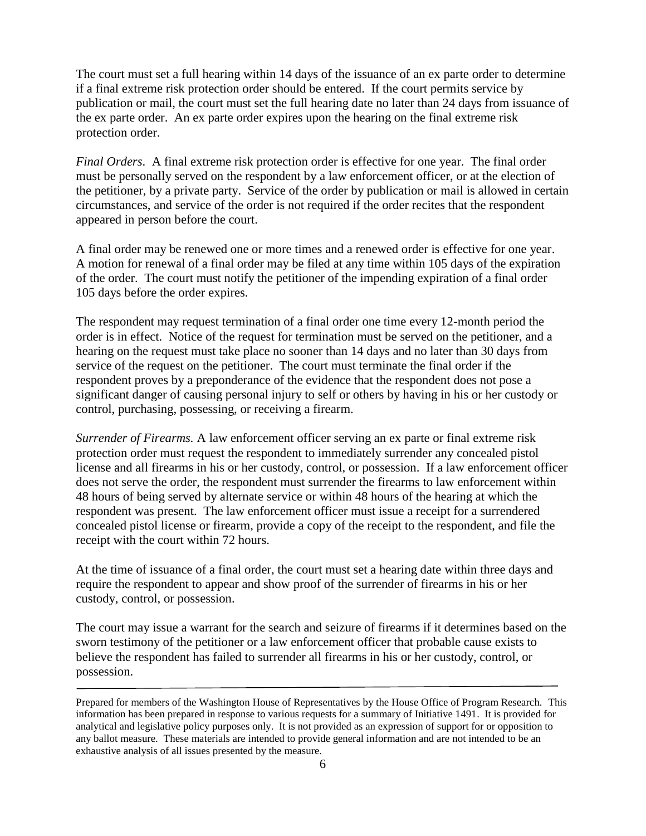The court must set a full hearing within 14 days of the issuance of an ex parte order to determine if a final extreme risk protection order should be entered. If the court permits service by publication or mail, the court must set the full hearing date no later than 24 days from issuance of the ex parte order. An ex parte order expires upon the hearing on the final extreme risk protection order.

*Final Orders*. A final extreme risk protection order is effective for one year. The final order must be personally served on the respondent by a law enforcement officer, or at the election of the petitioner, by a private party. Service of the order by publication or mail is allowed in certain circumstances, and service of the order is not required if the order recites that the respondent appeared in person before the court.

A final order may be renewed one or more times and a renewed order is effective for one year. A motion for renewal of a final order may be filed at any time within 105 days of the expiration of the order. The court must notify the petitioner of the impending expiration of a final order 105 days before the order expires.

The respondent may request termination of a final order one time every 12-month period the order is in effect. Notice of the request for termination must be served on the petitioner, and a hearing on the request must take place no sooner than 14 days and no later than 30 days from service of the request on the petitioner. The court must terminate the final order if the respondent proves by a preponderance of the evidence that the respondent does not pose a significant danger of causing personal injury to self or others by having in his or her custody or control, purchasing, possessing, or receiving a firearm.

*Surrender of Firearms.* A law enforcement officer serving an ex parte or final extreme risk protection order must request the respondent to immediately surrender any concealed pistol license and all firearms in his or her custody, control, or possession. If a law enforcement officer does not serve the order, the respondent must surrender the firearms to law enforcement within 48 hours of being served by alternate service or within 48 hours of the hearing at which the respondent was present. The law enforcement officer must issue a receipt for a surrendered concealed pistol license or firearm, provide a copy of the receipt to the respondent, and file the receipt with the court within 72 hours.

At the time of issuance of a final order, the court must set a hearing date within three days and require the respondent to appear and show proof of the surrender of firearms in his or her custody, control, or possession.

The court may issue a warrant for the search and seizure of firearms if it determines based on the sworn testimony of the petitioner or a law enforcement officer that probable cause exists to believe the respondent has failed to surrender all firearms in his or her custody, control, or possession.

Prepared for members of the Washington House of Representatives by the House Office of Program Research. This information has been prepared in response to various requests for a summary of Initiative 1491. It is provided for analytical and legislative policy purposes only. It is not provided as an expression of support for or opposition to any ballot measure. These materials are intended to provide general information and are not intended to be an exhaustive analysis of all issues presented by the measure.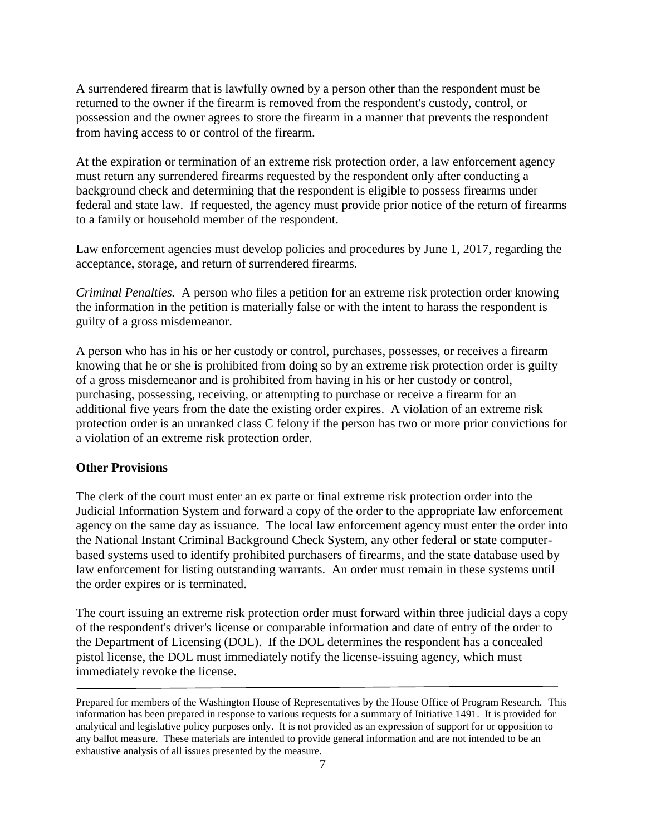A surrendered firearm that is lawfully owned by a person other than the respondent must be returned to the owner if the firearm is removed from the respondent's custody, control, or possession and the owner agrees to store the firearm in a manner that prevents the respondent from having access to or control of the firearm.

At the expiration or termination of an extreme risk protection order, a law enforcement agency must return any surrendered firearms requested by the respondent only after conducting a background check and determining that the respondent is eligible to possess firearms under federal and state law. If requested, the agency must provide prior notice of the return of firearms to a family or household member of the respondent.

Law enforcement agencies must develop policies and procedures by June 1, 2017, regarding the acceptance, storage, and return of surrendered firearms.

*Criminal Penalties.* A person who files a petition for an extreme risk protection order knowing the information in the petition is materially false or with the intent to harass the respondent is guilty of a gross misdemeanor.

A person who has in his or her custody or control, purchases, possesses, or receives a firearm knowing that he or she is prohibited from doing so by an extreme risk protection order is guilty of a gross misdemeanor and is prohibited from having in his or her custody or control, purchasing, possessing, receiving, or attempting to purchase or receive a firearm for an additional five years from the date the existing order expires. A violation of an extreme risk protection order is an unranked class C felony if the person has two or more prior convictions for a violation of an extreme risk protection order.

#### **Other Provisions**

The clerk of the court must enter an ex parte or final extreme risk protection order into the Judicial Information System and forward a copy of the order to the appropriate law enforcement agency on the same day as issuance. The local law enforcement agency must enter the order into the National Instant Criminal Background Check System, any other federal or state computerbased systems used to identify prohibited purchasers of firearms, and the state database used by law enforcement for listing outstanding warrants. An order must remain in these systems until the order expires or is terminated.

The court issuing an extreme risk protection order must forward within three judicial days a copy of the respondent's driver's license or comparable information and date of entry of the order to the Department of Licensing (DOL). If the DOL determines the respondent has a concealed pistol license, the DOL must immediately notify the license-issuing agency, which must immediately revoke the license.

Prepared for members of the Washington House of Representatives by the House Office of Program Research. This information has been prepared in response to various requests for a summary of Initiative 1491. It is provided for analytical and legislative policy purposes only. It is not provided as an expression of support for or opposition to any ballot measure. These materials are intended to provide general information and are not intended to be an exhaustive analysis of all issues presented by the measure.